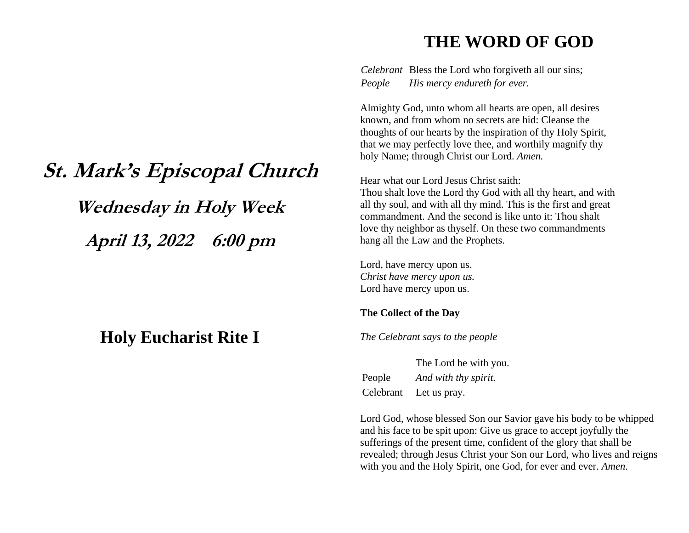# **St. Mark's Episcopal Church Wednesday in Holy Week April 13, 2022 6:00 pm**

# **Holy Eucharist Rite I**

# **THE WORD OF GOD**

*Celebrant* Bless the Lord who forgiveth all our sins; *People His mercy endureth for ever.*

Almighty God, unto whom all hearts are open, all desires known, and from whom no secrets are hid: Cleanse the thoughts of our hearts by the inspiration of thy Holy Spirit, that we may perfectly love thee, and worthily magnify thy holy Name; through Christ our Lord. *Amen.*

Hear what our Lord Jesus Christ saith:

Thou shalt love the Lord thy God with all thy heart, and with all thy soul, and with all thy mind. This is the first and great commandment. And the second is like unto it: Thou shalt love thy neighbor as thyself. On these two commandments hang all the Law and the Prophets.

Lord, have mercy upon us. *Christ have mercy upon us.* Lord have mercy upon us.

# **The Collect of the Day**

*The Celebrant says to the people*

 The Lord be with you. People *And with thy spirit.* Celebrant Let us pray.

Lord God, whose blessed Son our Savior gave his body to be whipped and his face to be spit upon: Give us grace to accept joyfully the sufferings of the present time, confident of the glory that shall be revealed; through Jesus Christ your Son our Lord, who lives and reigns with you and the Holy Spirit, one God, for ever and ever. *Amen.*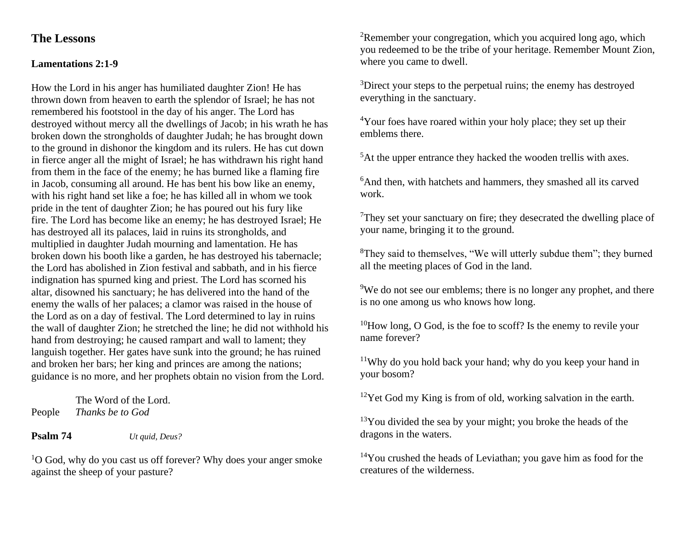# **The Lessons**

# **Lamentations 2:1-9**

How the Lord in his anger has humiliated daughter Zion! He has thrown down from heaven to earth the splendor of Israel; he has not remembered his footstool in the day of his anger. The Lord has destroyed without mercy all the dwellings of Jacob; in his wrath he has broken down the strongholds of daughter Judah; he has brought down to the ground in dishonor the kingdom and its rulers. He has cut down in fierce anger all the might of Israel; he has withdrawn his right hand from them in the face of the enemy; he has burned like a flaming fire in Jacob, consuming all around. He has bent his bow like an enemy, with his right hand set like a foe; he has killed all in whom we took pride in the tent of daughter Zion; he has poured out his fury like fire. The Lord has become like an enemy; he has destroyed Israel; He has destroyed all its palaces, laid in ruins its strongholds, and multiplied in daughter Judah mourning and lamentation. He has broken down his booth like a garden, he has destroyed his tabernacle; the Lord has abolished in Zion festival and sabbath, and in his fierce indignation has spurned king and priest. The Lord has scorned his altar, disowned his sanctuary; he has delivered into the hand of the enemy the walls of her palaces; a clamor was raised in the house of the Lord as on a day of festival. The Lord determined to lay in ruins the wall of daughter Zion; he stretched the line; he did not withhold his hand from destroying; he caused rampart and wall to lament; they languish together. Her gates have sunk into the ground; he has ruined and broken her bars; her king and princes are among the nations; guidance is no more, and her prophets obtain no vision from the Lord.

 The Word of the Lord. People *Thanks be to God*

**Psalm 74** *Ut quid, Deus?*

 $1$ O God, why do you cast us off forever? Why does your anger smoke against the sheep of your pasture?

<sup>2</sup>Remember your congregation, which you acquired long ago, which you redeemed to be the tribe of your heritage. Remember Mount Zion, where you came to dwell.

<sup>3</sup>Direct your steps to the perpetual ruins; the enemy has destroyed everything in the sanctuary.

<sup>4</sup>Your foes have roared within your holy place; they set up their emblems there.

<sup>5</sup>At the upper entrance they hacked the wooden trellis with axes.

<sup>6</sup>And then, with hatchets and hammers, they smashed all its carved work.

<sup>7</sup>They set your sanctuary on fire; they desecrated the dwelling place of your name, bringing it to the ground.

<sup>8</sup>They said to themselves, "We will utterly subdue them"; they burned all the meeting places of God in the land.

<sup>9</sup>We do not see our emblems; there is no longer any prophet, and there is no one among us who knows how long.

 $10$ How long, O God, is the foe to scoff? Is the enemy to revile your name forever?

 $11$ Why do you hold back your hand; why do you keep your hand in your bosom?

 $12$ Yet God my King is from of old, working salvation in the earth.

 $13$ You divided the sea by your might; you broke the heads of the dragons in the waters.

<sup>14</sup>You crushed the heads of Leviathan; you gave him as food for the creatures of the wilderness.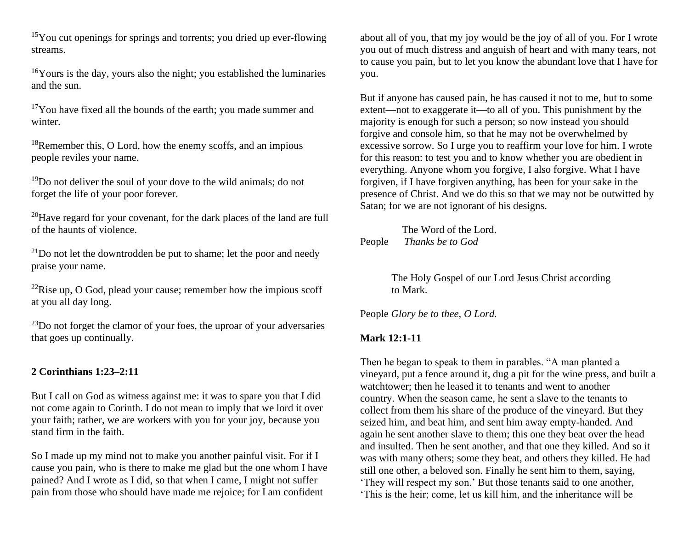<sup>15</sup>You cut openings for springs and torrents; you dried up ever-flowing streams.

 $16Y$ ours is the day, yours also the night; you established the luminaries and the sun.

<sup>17</sup>You have fixed all the bounds of the earth; you made summer and winter.

<sup>18</sup>Remember this, O Lord, how the enemy scoffs, and an impious people reviles your name.

 $19$ Do not deliver the soul of your dove to the wild animals; do not forget the life of your poor forever.

<sup>20</sup>Have regard for your covenant, for the dark places of the land are full of the haunts of violence.

 $^{21}$ Do not let the downtrodden be put to shame; let the poor and needy praise your name.

<sup>22</sup>Rise up, O God, plead your cause; remember how the impious scoff at you all day long.

 $^{23}$ Do not forget the clamor of your foes, the uproar of your adversaries that goes up continually.

# **2 Corinthians 1:23–2:11**

But I call on God as witness against me: it was to spare you that I did not come again to Corinth. I do not mean to imply that we lord it over your faith; rather, we are workers with you for your joy, because you stand firm in the faith.

So I made up my mind not to make you another painful visit. For if I cause you pain, who is there to make me glad but the one whom I have pained? And I wrote as I did, so that when I came, I might not suffer pain from those who should have made me rejoice; for I am confident

about all of you, that my joy would be the joy of all of you. For I wrote you out of much distress and anguish of heart and with many tears, not to cause you pain, but to let you know the abundant love that I have for you.

But if anyone has caused pain, he has caused it not to me, but to some extent—not to exaggerate it—to all of you. This punishment by the majority is enough for such a person; so now instead you should forgive and console him, so that he may not be overwhelmed by excessive sorrow. So I urge you to reaffirm your love for him. I wrote for this reason: to test you and to know whether you are obedient in everything. Anyone whom you forgive, I also forgive. What I have forgiven, if I have forgiven anything, has been for your sake in the presence of Christ. And we do this so that we may not be outwitted by Satan; for we are not ignorant of his designs.

 The Word of the Lord. People *Thanks be to God*

> The Holy Gospel of our Lord Jesus Christ according to Mark.

People *Glory be to thee, O Lord.*

#### **Mark 12:1-11**

Then he began to speak to them in parables. "A man planted a vineyard, put a fence around it, dug a pit for the wine press, and built a watchtower; then he leased it to tenants and went to another country. When the season came, he sent a slave to the tenants to collect from them his share of the produce of the vineyard. But they seized him, and beat him, and sent him away empty-handed. And again he sent another slave to them; this one they beat over the head and insulted. Then he sent another, and that one they killed. And so it was with many others; some they beat, and others they killed. He had still one other, a beloved son. Finally he sent him to them, saying, 'They will respect my son.' But those tenants said to one another, 'This is the heir; come, let us kill him, and the inheritance will be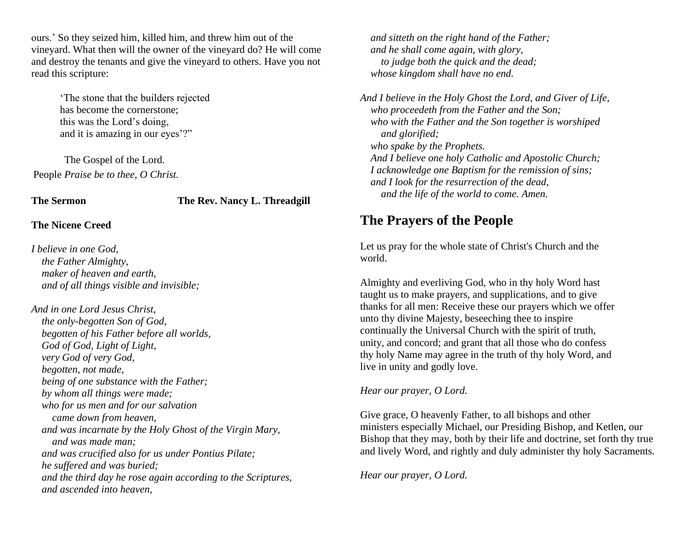ours.' So they seized him, killed him, and threw him out of the vineyard. What then will the owner of the vineyard do? He will come and destroy the tenants and give the vineyard to others. Have you not read this scripture:

 'The stone that the builders rejected has become the cornerstone; this was the Lord's doing, and it is amazing in our eyes'?"

The Gospel of the Lord. People *Praise be to thee, O Christ.*

**The Sermon** The Rev. Nancy L. Threadgill

# **The Nicene Creed**

*I believe in one God, the Father Almighty, maker of heaven and earth, and of all things visible and invisible;*

*And in one Lord Jesus Christ, the only-begotten Son of God, begotten of his Father before all worlds, God of God, Light of Light, very God of very God, begotten, not made, being of one substance with the Father; by whom all things were made; who for us men and for our salvation came down from heaven, and was incarnate by the Holy Ghost of the Virgin Mary, and was made man; and was crucified also for us under Pontius Pilate; he suffered and was buried; and the third day he rose again according to the Scriptures, and ascended into heaven,*

 *and sitteth on the right hand of the Father; and he shall come again, with glory, to judge both the quick and the dead; whose kingdom shall have no end.*

*And I believe in the Holy Ghost the Lord, and Giver of Life, who proceedeth from the Father and the Son; who with the Father and the Son together is worshiped and glorified; who spake by the Prophets. And I believe one holy Catholic and Apostolic Church; I acknowledge one Baptism for the remission of sins; and I look for the resurrection of the dead, and the life of the world to come. Amen.*

# **The Prayers of the People**

Let us pray for the whole state of Christ's Church and the world.

Almighty and everliving God, who in thy holy Word hast taught us to make prayers, and supplications, and to give thanks for all men: Receive these our prayers which we offer unto thy divine Majesty, beseeching thee to inspire continually the Universal Church with the spirit of truth, unity, and concord; and grant that all those who do confess thy holy Name may agree in the truth of thy holy Word, and live in unity and godly love.

# *Hear our prayer, O Lord.*

Give grace, O heavenly Father, to all bishops and other ministers especially Michael, our Presiding Bishop, and Ketlen, our Bishop that they may, both by their life and doctrine, set forth thy true and lively Word, and rightly and duly administer thy holy Sacraments.

*Hear our prayer, O Lord.*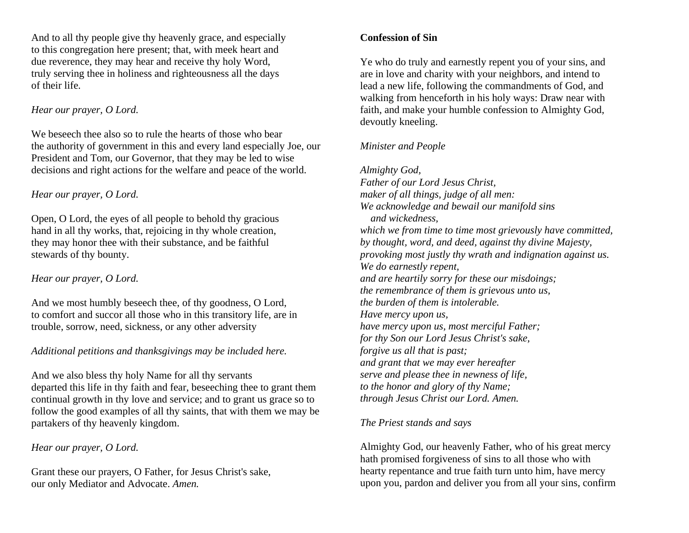And to all thy people give thy heavenly grace, and especially to this congregation here present; that, with meek heart and due reverence, they may hear and receive thy holy Word, truly serving thee in holiness and righteousness all the days of their life.

# *Hear our prayer, O Lord.*

We beseech thee also so to rule the hearts of those who bear the authority of government in this and every land especially Joe, our President and Tom, our Governor, that they may be led to wise decisions and right actions for the welfare and peace of the world.

# *Hear our prayer, O Lord.*

Open, O Lord, the eyes of all people to behold thy gracious hand in all thy works, that, rejoicing in thy whole creation, they may honor thee with their substance, and be faithful stewards of thy bounty.

# *Hear our prayer, O Lord.*

And we most humbly beseech thee, of thy goodness, O Lord, to comfort and succor all those who in this transitory life, are in trouble, sorrow, need, sickness, or any other adversity

# *Additional petitions and thanksgivings may be included here.*

And we also bless thy holy Name for all thy servants departed this life in thy faith and fear, beseeching thee to grant them continual growth in thy love and service; and to grant us grace so to follow the good examples of all thy saints, that with them we may be partakers of thy heavenly kingdom.

# *Hear our prayer, O Lord.*

Grant these our prayers, O Father, for Jesus Christ's sake, our only Mediator and Advocate. *Amen.*

# **Confession of Sin**

Ye who do truly and earnestly repent you of your sins, and are in love and charity with your neighbors, and intend to lead a new life, following the commandments of God, and walking from henceforth in his holy ways: Draw near with faith, and make your humble confession to Almighty God, devoutly kneeling.

# *Minister and People*

# *Almighty God,*

*Father of our Lord Jesus Christ, maker of all things, judge of all men: We acknowledge and bewail our manifold sins and wickedness, which we from time to time most grievously have committed, by thought, word, and deed, against thy divine Majesty, provoking most justly thy wrath and indignation against us. We do earnestly repent, and are heartily sorry for these our misdoings; the remembrance of them is grievous unto us, the burden of them is intolerable. Have mercy upon us, have mercy upon us, most merciful Father; for thy Son our Lord Jesus Christ's sake, forgive us all that is past; and grant that we may ever hereafter serve and please thee in newness of life, to the honor and glory of thy Name; through Jesus Christ our Lord. Amen.*

# *The Priest stands and says*

Almighty God, our heavenly Father, who of his great mercy hath promised forgiveness of sins to all those who with hearty repentance and true faith turn unto him, have mercy upon you, pardon and deliver you from all your sins, confirm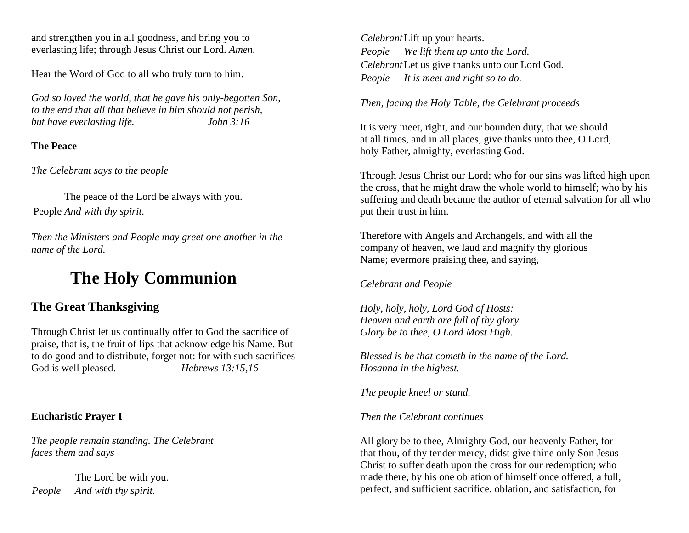and strengthen you in all goodness, and bring you to everlasting life; through Jesus Christ our Lord. *Amen.* 

Hear the Word of God to all who truly turn to him.

*God so loved the world, that he gave his only-begotten Son, to the end that all that believe in him should not perish, but have everlasting life. John 3:16*

# **The Peace**

*The Celebrant says to the people*

The peace of the Lord be always with you. People *And with thy spirit.*

*Then the Ministers and People may greet one another in the name of the Lord.*

# **The Holy Communion**

# **The Great Thanksgiving**

Through Christ let us continually offer to God the sacrifice of praise, that is, the fruit of lips that acknowledge his Name. But to do good and to distribute, forget not: for with such sacrifices God is well pleased. *Hebrews 13:15,16* 

# **Eucharistic Prayer I**

*The people remain standing. The Celebrant faces them and says*

The Lord be with you. *People And with thy spirit.*

*Celebrant*Lift up your hearts. *People We lift them up unto the Lord. Celebrant*Let us give thanks unto our Lord God. *People It is meet and right so to do.*

# *Then, facing the Holy Table, the Celebrant proceeds*

It is very meet, right, and our bounden duty, that we should at all times, and in all places, give thanks unto thee, O Lord, holy Father, almighty, everlasting God.

Through Jesus Christ our Lord; who for our sins was lifted high upon the cross, that he might draw the whole world to himself; who by his suffering and death became the author of eternal salvation for all who put their trust in him.

Therefore with Angels and Archangels, and with all the company of heaven, we laud and magnify thy glorious Name; evermore praising thee, and saying,

*Celebrant and People*

*Holy, holy, holy, Lord God of Hosts: Heaven and earth are full of thy glory. Glory be to thee, O Lord Most High.*

*Blessed is he that cometh in the name of the Lord. Hosanna in the highest.*

*The people kneel or stand.*

# *Then the Celebrant continues*

All glory be to thee, Almighty God, our heavenly Father, for that thou, of thy tender mercy, didst give thine only Son Jesus Christ to suffer death upon the cross for our redemption; who made there, by his one oblation of himself once offered, a full, perfect, and sufficient sacrifice, oblation, and satisfaction, for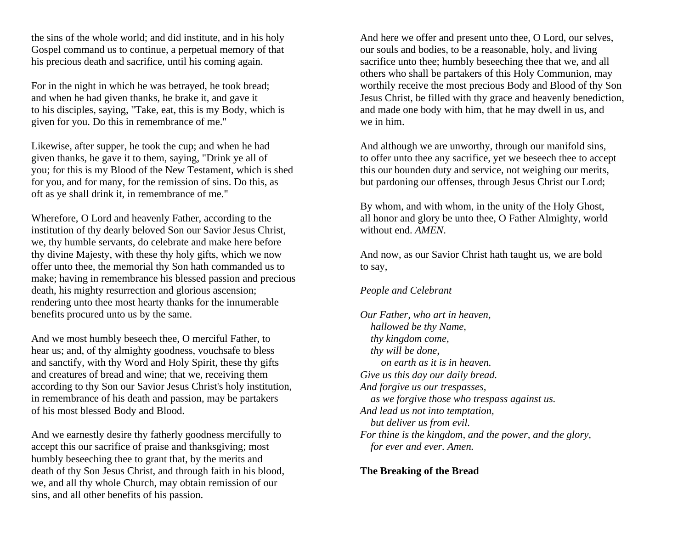the sins of the whole world; and did institute, and in his holy Gospel command us to continue, a perpetual memory of that his precious death and sacrifice, until his coming again.

For in the night in which he was betrayed, he took bread; and when he had given thanks, he brake it, and gave it to his disciples, saying, "Take, eat, this is my Body, which is given for you. Do this in remembrance of me."

Likewise, after supper, he took the cup; and when he had given thanks, he gave it to them, saying, "Drink ye all of you; for this is my Blood of the New Testament, which is shed for you, and for many, for the remission of sins. Do this, as oft as ye shall drink it, in remembrance of me."

Wherefore, O Lord and heavenly Father, according to the institution of thy dearly beloved Son our Savior Jesus Christ, we, thy humble servants, do celebrate and make here before thy divine Majesty, with these thy holy gifts, which we now offer unto thee, the memorial thy Son hath commanded us to make; having in remembrance his blessed passion and precious death, his mighty resurrection and glorious ascension; rendering unto thee most hearty thanks for the innumerable benefits procured unto us by the same.

And we most humbly beseech thee, O merciful Father, to hear us; and, of thy almighty goodness, vouchsafe to bless and sanctify, with thy Word and Holy Spirit, these thy gifts and creatures of bread and wine; that we, receiving them according to thy Son our Savior Jesus Christ's holy institution, in remembrance of his death and passion, may be partakers of his most blessed Body and Blood.

And we earnestly desire thy fatherly goodness mercifully to accept this our sacrifice of praise and thanksgiving; most humbly beseeching thee to grant that, by the merits and death of thy Son Jesus Christ, and through faith in his blood, we, and all thy whole Church, may obtain remission of our sins, and all other benefits of his passion.

And here we offer and present unto thee, O Lord, our selves, our souls and bodies, to be a reasonable, holy, and living sacrifice unto thee; humbly beseeching thee that we, and all others who shall be partakers of this Holy Communion, may worthily receive the most precious Body and Blood of thy Son Jesus Christ, be filled with thy grace and heavenly benediction, and made one body with him, that he may dwell in us, and we in him.

And although we are unworthy, through our manifold sins, to offer unto thee any sacrifice, yet we beseech thee to accept this our bounden duty and service, not weighing our merits, but pardoning our offenses, through Jesus Christ our Lord;

By whom, and with whom, in the unity of the Holy Ghost, all honor and glory be unto thee, O Father Almighty, world without end. *AMEN*.

And now, as our Savior Christ hath taught us, we are bold to say,

#### *People and Celebrant*

*Our Father, who art in heaven, hallowed be thy Name, thy kingdom come, thy will be done, on earth as it is in heaven. Give us this day our daily bread. And forgive us our trespasses, as we forgive those who trespass against us. And lead us not into temptation, but deliver us from evil. For thine is the kingdom, and the power, and the glory, for ever and ever. Amen.*

#### **The Breaking of the Bread**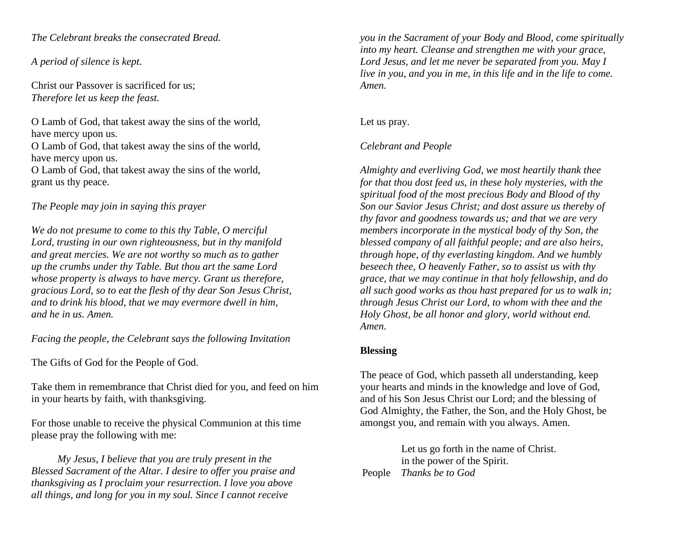*The Celebrant breaks the consecrated Bread.*

*A period of silence is kept.*

Christ our Passover is sacrificed for us; *Therefore let us keep the feast.*

O Lamb of God, that takest away the sins of the world, have mercy upon us.

O Lamb of God, that takest away the sins of the world, have mercy upon us.

O Lamb of God, that takest away the sins of the world, grant us thy peace.

# *The People may join in saying this prayer*

*We do not presume to come to this thy Table, O merciful Lord, trusting in our own righteousness, but in thy manifold and great mercies. We are not worthy so much as to gather up the crumbs under thy Table. But thou art the same Lord whose property is always to have mercy. Grant us therefore, gracious Lord, so to eat the flesh of thy dear Son Jesus Christ, and to drink his blood, that we may evermore dwell in him, and he in us. Amen.*

*Facing the people, the Celebrant says the following Invitation*

The Gifts of God for the People of God.

Take them in remembrance that Christ died for you, and feed on him in your hearts by faith, with thanksgiving.

For those unable to receive the physical Communion at this time please pray the following with me:

 *My Jesus, I believe that you are truly present in the Blessed Sacrament of the Altar. I desire to offer you praise and thanksgiving as I proclaim your resurrection. I love you above all things, and long for you in my soul. Since I cannot receive* 

*you in the Sacrament of your Body and Blood, come spiritually into my heart. Cleanse and strengthen me with your grace, Lord Jesus, and let me never be separated from you. May I live in you, and you in me, in this life and in the life to come. Amen.*

### Let us pray.

# *Celebrant and People*

*Almighty and everliving God, we most heartily thank thee for that thou dost feed us, in these holy mysteries, with the spiritual food of the most precious Body and Blood of thy Son our Savior Jesus Christ; and dost assure us thereby of thy favor and goodness towards us; and that we are very members incorporate in the mystical body of thy Son, the blessed company of all faithful people; and are also heirs, through hope, of thy everlasting kingdom. And we humbly beseech thee, O heavenly Father, so to assist us with thy grace, that we may continue in that holy fellowship, and do all such good works as thou hast prepared for us to walk in; through Jesus Christ our Lord, to whom with thee and the Holy Ghost, be all honor and glory, world without end. Amen.*

# **Blessing**

The peace of God, which passeth all understanding, keep your hearts and minds in the knowledge and love of God, and of his Son Jesus Christ our Lord; and the blessing of God Almighty, the Father, the Son, and the Holy Ghost, be amongst you, and remain with you always. Amen.

 Let us go forth in the name of Christ. in the power of the Spirit. People *Thanks be to God*